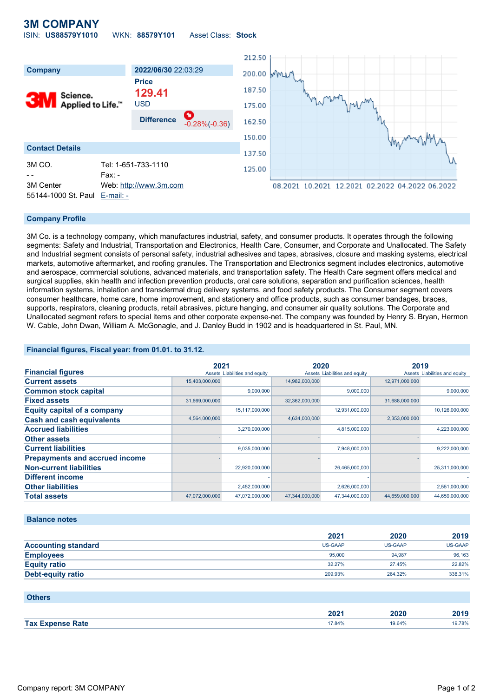#### **3M COMPANY** ISIN: **US88579Y1010** WKN: **88579Y101** Asset Class: **Stock**



#### **Company Profile**

3M Co. is a technology company, which manufactures industrial, safety, and consumer products. It operates through the following segments: Safety and Industrial, Transportation and Electronics, Health Care, Consumer, and Corporate and Unallocated. The Safety and Industrial segment consists of personal safety, industrial adhesives and tapes, abrasives, closure and masking systems, electrical markets, automotive aftermarket, and roofing granules. The Transportation and Electronics segment includes electronics, automotive and aerospace, commercial solutions, advanced materials, and transportation safety. The Health Care segment offers medical and surgical supplies, skin health and infection prevention products, oral care solutions, separation and purification sciences, health information systems, inhalation and transdermal drug delivery systems, and food safety products. The Consumer segment covers consumer healthcare, home care, home improvement, and stationery and office products, such as consumer bandages, braces, supports, respirators, cleaning products, retail abrasives, picture hanging, and consumer air quality solutions. The Corporate and Unallocated segment refers to special items and other corporate expense-net. The company was founded by Henry S. Bryan, Hermon W. Cable, John Dwan, William A. McGonagle, and J. Danley Budd in 1902 and is headquartered in St. Paul, MN.

#### **Financial figures, Fiscal year: from 01.01. to 31.12.**

|                                       | 2021           |                               | 2020           |                               | 2019           |                               |
|---------------------------------------|----------------|-------------------------------|----------------|-------------------------------|----------------|-------------------------------|
| <b>Financial figures</b>              |                | Assets Liabilities and equity |                | Assets Liabilities and equity |                | Assets Liabilities and equity |
| <b>Current assets</b>                 | 15,403,000,000 |                               | 14,982,000,000 |                               | 12,971,000,000 |                               |
| <b>Common stock capital</b>           |                | 9,000,000                     |                | 9,000,000                     |                | 9.000.000                     |
| <b>Fixed assets</b>                   | 31,669,000,000 |                               | 32,362,000,000 |                               | 31,688,000,000 |                               |
| <b>Equity capital of a company</b>    |                | 15,117,000,000                |                | 12,931,000,000                |                | 10,126,000,000                |
| <b>Cash and cash equivalents</b>      | 4,564,000,000  |                               | 4,634,000,000  |                               | 2,353,000,000  |                               |
| <b>Accrued liabilities</b>            |                | 3,270,000,000                 |                | 4,815,000,000                 |                | 4,223,000,000                 |
| <b>Other assets</b>                   |                |                               |                |                               |                |                               |
| <b>Current liabilities</b>            |                | 9,035,000,000                 |                | 7,948,000,000                 |                | 9,222,000,000                 |
| <b>Prepayments and accrued income</b> |                |                               |                |                               |                |                               |
| <b>Non-current liabilities</b>        |                | 22,920,000,000                |                | 26,465,000,000                |                | 25,311,000,000                |
| <b>Different income</b>               |                |                               |                |                               |                |                               |
| <b>Other liabilities</b>              |                | 2,452,000,000                 |                | 2,626,000,000                 |                | 2,551,000,000                 |
| <b>Total assets</b>                   | 47,072,000,000 | 47,072,000,000                | 47,344,000,000 | 47,344,000,000                | 44,659,000,000 | 44,659,000,000                |

#### **Balance notes**

|                            | 2021    | 2020    | 2019           |
|----------------------------|---------|---------|----------------|
| <b>Accounting standard</b> | US-GAAP | US-GAAP | <b>US-GAAP</b> |
| <b>Employees</b>           | 95,000  | 94.987  | 96,163         |
| <b>Equity ratio</b>        | 32.27%  | 27.45%  | 22.82%         |
| Debt-equity ratio          | 209.93% | 264.32% | 338.31%        |

| <b>Others</b>           |        |        |        |
|-------------------------|--------|--------|--------|
|                         | 2021   | 2020   | 2019   |
| <b>Tax Expense Rate</b> | 17.84% | 19.64% | 19.78% |